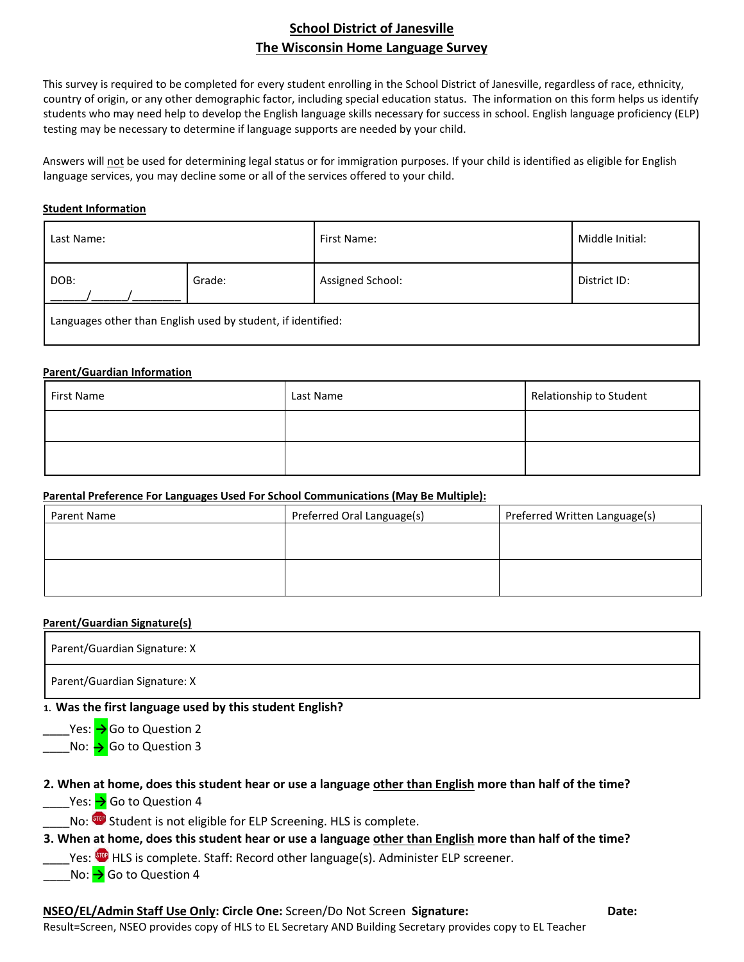## **School District of Janesville The Wisconsin Home Language Survey**

This survey is required to be completed for every student enrolling in the School District of Janesville, regardless of race, ethnicity, country of origin, or any other demographic factor, including special education status. The information on this form helps us identify students who may need help to develop the English language skills necessary for success in school. English language proficiency (ELP) testing may be necessary to determine if language supports are needed by your child.

Answers will not be used for determining legal status or for immigration purposes. If your child is identified as eligible for English language services, you may decline some or all of the services offered to your child.

### **Student Information**

| Last Name:                                                   |        | First Name:      | Middle Initial: |
|--------------------------------------------------------------|--------|------------------|-----------------|
| DOB:                                                         | Grade: | Assigned School: | District ID:    |
| Languages other than English used by student, if identified: |        |                  |                 |

#### **Parent/Guardian Information**

| First Name | Last Name | Relationship to Student |
|------------|-----------|-------------------------|
|            |           |                         |
|            |           |                         |

### **Parental Preference For Languages Used For School Communications (May Be Multiple):**

| Parent Name | Preferred Oral Language(s) | Preferred Written Language(s) |
|-------------|----------------------------|-------------------------------|
|             |                            |                               |
|             |                            |                               |
|             |                            |                               |
|             |                            |                               |

### **Parent/Guardian Signature(s)**

Parent/Guardian Signature: X

Parent/Guardian Signature: X

### **1. Was the first language used by this student English?**

\_\_\_\_Yes: Go to Question 2 **→ \_\_\_\_No: → Go to Question 3** 

# **2. When at home, does this student hear or use a language other than English more than half of the time?**

\_\_\_\_Yes: **→** Go to Question 4

No: SUP Student is not eligible for ELP Screening. HLS is complete.

# **3. When at home, does this student hear or use a language other than English more than half of the time?**

Yes: Super HLS is complete. Staff: Record other language(s). Administer ELP screener.

No: → Go to Question 4

# **NSEO/EL/Admin Staff Use Only: Circle One:** Screen/Do Not Screen **Signature: Date:**

Result=Screen, NSEO provides copy of HLS to EL Secretary AND Building Secretary provides copy to EL Teacher